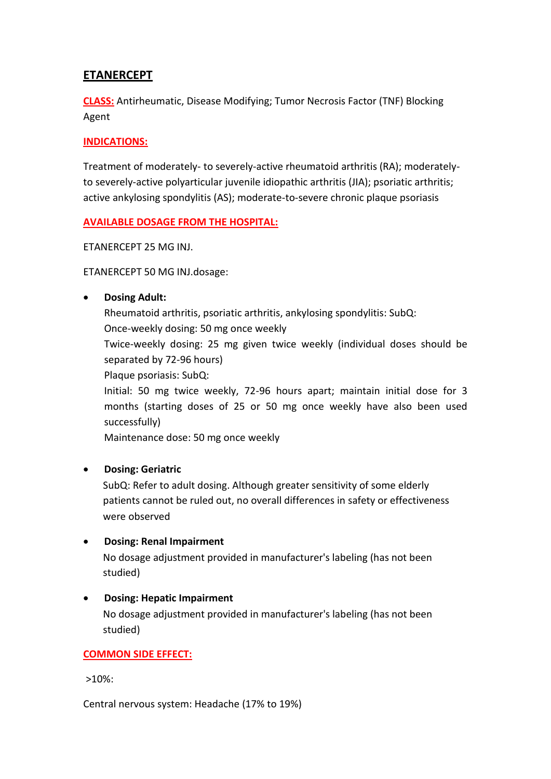# **ETANERCEPT**

**CLASS:** Antirheumatic, Disease Modifying; Tumor Necrosis Factor (TNF) Blocking Agent

## **INDICATIONS:**

Treatment of moderately- to severely-active rheumatoid arthritis (RA); moderatelyto severely-active polyarticular juvenile idiopathic arthritis (JIA); psoriatic arthritis; active ankylosing spondylitis (AS); moderate-to-severe chronic plaque psoriasis

### **AVAILABLE DOSAGE FROM THE HOSPITAL:**

ETANERCEPT 25 MG INJ.

ETANERCEPT 50 MG INJ.dosage:

### **Dosing Adult:**

Rheumatoid arthritis, psoriatic arthritis, ankylosing spondylitis: SubQ: Once-weekly dosing: 50 mg once weekly Twice-weekly dosing: 25 mg given twice weekly (individual doses should be separated by 72-96 hours)

Plaque psoriasis: SubQ:

Initial: 50 mg twice weekly, 72-96 hours apart; maintain initial dose for 3 months (starting doses of 25 or 50 mg once weekly have also been used successfully)

Maintenance dose: 50 mg once weekly

## **Dosing: Geriatric**

SubQ: Refer to adult dosing. Although greater sensitivity of some elderly patients cannot be ruled out, no overall differences in safety or effectiveness were observed

### **Dosing: Renal Impairment**

No dosage adjustment provided in manufacturer's labeling (has not been studied)

### **Dosing: Hepatic Impairment**

No dosage adjustment provided in manufacturer's labeling (has not been studied)

### **COMMON SIDE EFFECT:**

>10%:

Central nervous system: Headache (17% to 19%)